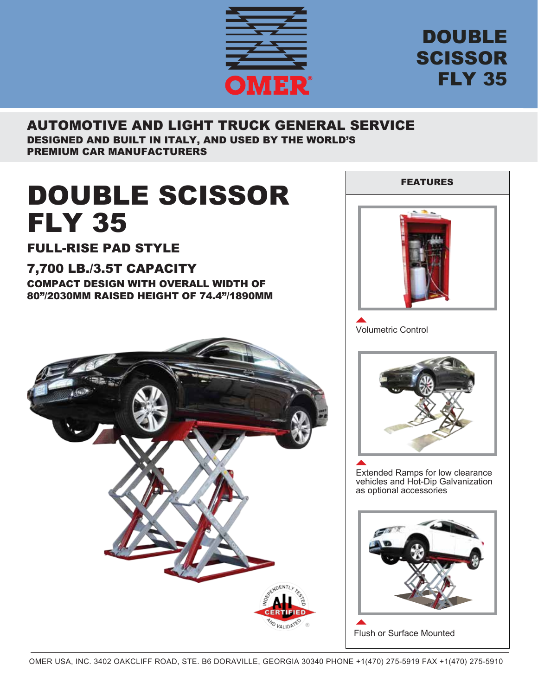

## DOUBLE SCISSOR FLY 35

#### AUTOMOTIVE AND LIGHT TRUCK GENERAL SERVICE DESIGNED AND BUILT IN ITALY, AND USED BY THE WORLD'S PREMIUM CAR MANUFACTURERS

# DOUBLE SCISSOR FLY 35

FULL-RISE PAD STYLE

### 7,700 LB./3.5T CAPACITY

COMPACT DESIGN WITH OVERALL WIDTH OF 80"/2030MM RAISED HEIGHT OF 74.4"/1890MM





Volumetric Control



Extended Ramps for low clearance vehicles and Hot-Dip Galvanization as optional accessories